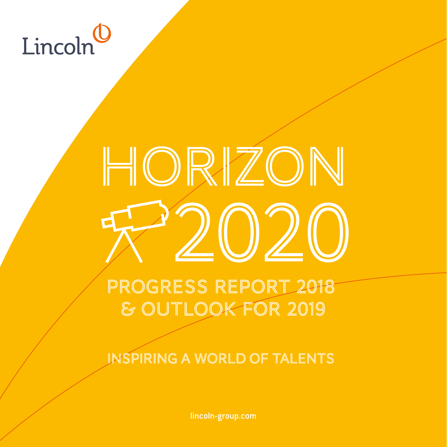# Lincoln

# HORIZON 2020

# Progress Report 2018 & Outlook for 2019

INSPIRING A WORLD OF TALENTS

lincoln-group.com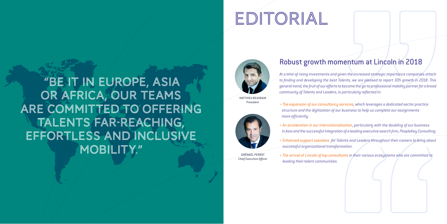# Robust growth momentum at Lincoln in 2018

*At a time of rising investments and given the increased strategic importance companies attach to finding and developing the best Talents, we are pleased to report 30% growth in 2018. This general trend, the fruit of our efforts to become the go-to professional mobility partner for a broad community of Talents and Leaders, is particularly reflected in:*

*> The expansion of our consultancy services, which leverages a dedicated sector practice structure and the digitization of our business to help us complete our assignments more efficiently.*

**GWËNAEL PERRO** *Chief Executive Officer*

 $\mathcal{L} = \mathcal{L} = \mathcal{L}$ 

# Édito Édito EDITORIAL

*> An acceleration in our internationalization, particularly with the doubling of our business in Asia and the successful integration of a leading executive search firm, PeopleKey Consulting.*

*> Enhanced support solutions for Talents and Leaders throughout their careers to bring about successful organizational transformation.*

*> The arrival at Lincoln of top consultants in their various ecosystems who are committed to leading their talent communities.*

MATTHIEU BEAURAIN *President*





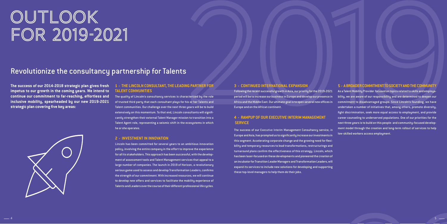# Édito Édito OUTLOOK FOR 2019-2021

**The success of our 2014-2018 strategic plan gives fresh impetus to our growth in the coming years. We intend to continue our commitment to far-reaching, effortless and inclusive mobility, spearheaded by our new 2019-2021 strategic plan covering five key areas:**



### **1 - THE LINCOLN CONSULTANT, THE LEADING PARTNER FOR TALENT COMMUNITIES**

The quality of Lincoln's consultancy services is characterized by the role of trusted third party that each consultant plays for his or her Talents and Talent communities. Our challenge over the next three years will be to build extensively on this momentum. To that end, Lincoln consultants will significantly strengthen their external Talent Manager mission to transition into a Talent Agent role, representing a seismic shift in the ecosystems in which he or she operates.

#### **2 - INVESTMENT IN INNOVATION**

Lincoln has been committed for several years to an ambitious innovation policy, involving the entire company in the effort to improve the experience for all its stakeholders. This approach has been successful, with the development of assessment tools and Talent Management services that appeal to a large number of companies. The launch in 2019 of Horizon, a revolutionary serious game used to assess and develop Transformation Leaders, confirms the strength of our commitment. With increased resources, we will continue to develop new offers and services to facilitate the mobility experience of Talents and Leaders over the course of their different professional life cycles.

### **3 - CONTINUED INTERNATIONAL EXPANSION**

S<br>
SUNG PARTICLE TON<br>
TONG PARTICLE TON 3 - CONTINUED INTERNATIONAL EXPANSION<br>
YOU CONTINUED INTERNATIONAL EXPANSION<br>
YOU CONTINUED TO USE A CONTINUED INTERNATIONAL EXPANSION<br>
YOU CONTINUED TO USE A CONTINUED INTERNATIONAL Following the recent successful growth in Asia, our priority for the 2019-2021 period will be to increase our business in Europe and develop our presence in Africa and the Middle East. Our ultimate goal is to open several new offices in Europe and on the African continent.  **SERVICE** The success of our Executive Interim Management Consultancy service, in As a Talent Mobility Provider focused on topics related to skills and employability, we are aware of our responsibility and are determined to deepen our commitment to disadvantaged groups. Since Lincoln's founding, we have undertaken a number of initiatives that, among others, promote diversity, fight discrimination, seek more equal access to employment, and provide career counseling to underserved populations. One of our priorities for the next three years is to build on this people- and community-focused development model through the creation and long-term rollout of services to help low-skilled workers access employment.

# **4 - RAMPUP OF OUR EXECUTIVE INTERIM MANAGEMENT**

Europe and Asia, has prompted us to significantly increase our investments in this segment. Accelerating corporate change and the growing need for flexibility and temporary resources to lead transformations, restructurings and turnaround plans confirm the effectiveness of this strategy. Lincoln, which has been laser-focused on these developments and pioneered the creation of an incubator for Transition Leader Managers and Transformation Leaders, will expand its services to include new solutions for developing and supporting these top-level managers to help them do their jobs.

### **5 - A BROADER COMMITMENT TO SOCIETY AND THE COMMUNITY**

## Revolutionize the consultancy partnership for Talents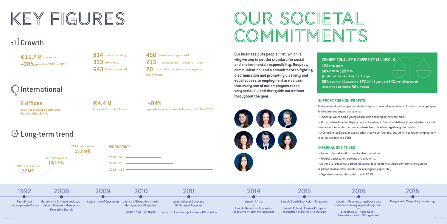# KEY FIGURES

# **Growth**

€15.7 M in revenue **+30%** growth in 2018 vs 2017



### **+84%**

growth in revenue outside France in 2018 vs 2017

# JR SOCIETAL COMMITMENTS



**456** trained and supported &

**213** assessment centers run **70** executive interime management

assignments

**Our business puts people first, which is why we aim to set the standard for social and environmental responsibility. Respect, communication, and a commitment to fighting discrimination and promoting diversity and equal access to employment are values that every one of our employees takes very seriously and that guide our actions throughout the year.**

#### **GENDER EQUALITY & DIVERSITY AT LINCOLN**

# **124** employees

**68%** women **32%** men **9** nationalities: 4 in Asia, 5 in Europe **29%** less than 30 years old **57%** 30-49 years old **14%** over 50 years old Executive Committee: **50%** women





2013 net revenue **7,7 M€** 

2015 net revenue **10.4 M€** 



Lincoln – Restructuring based on a multidisciplinary segment approach

— Lincoln Asia – Hong Kong – Executive Interim Management 2018

Merger with PeopleKey Consulting

**6 offices** and a foothold in 3 continents: Europe, Africa & Asia

 $\circled{1}$  Long-term trend

¤**4,4 M** in revenue outside France

**118 net revenue** WORKFORCE<br>15.7 M€

#### **SUPPORT FOR NON-PROFITS**

We have developed long-term relationships with several associations, for which our employees lead numerous support sessions:

- > Cheer Up, which helps young adults with cancer join the workforce.
- > At the Hélène Boucher High School in Tremblay in Seine Saint-Denis (France), where we help seniors and secondary school students from disadvantaged neighborhoods.

 $>$   $\lambda$  Compétence Egale, an association that we co-founded, and which has fought employment

discrimination since 2006.

### **INTERNAL INITIATIVES**

> Annual internal audit to monitor discrimination.

- > Regular satisfaction surveys of our Talents.
- > Actions to reduce our carbon footprint (development of video-conferencing systems,
- > Organized community action day in 2019.
- 
- 
- 
- digitization of our documents, use of recycled paper, etc.).
- 

2018 net revenue

2013 57 2015 70 2018 124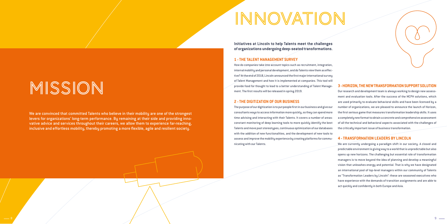# INNOVATION

**Initiatives at Lincoln to help Talents meet the challenges of organizations undergoing deep-seated transformations.**

### **1 - THE TALENT MANAGEMENT SURVEY**

How do companies take into account topics such as recruitment, integration, internal mobility and personal development, and do Talents view them as effective? At the end of 2018, Lincoln announced the first major international survey of Talent Management and how it is implemented at companies. This tool will provide food for thought to lead to a better understanding of Talent Management. The first results will be released in spring 2019.

### **2 - THE DIGITIZATION OF OUR BUSINESS**

The purpose of our digitization is to put people first in our business and give our consultants ways to access information more quickly, so they can spend more time advising and interacting with their Talents. It covers a number of areas: constant monitoring of deep learning tools to more quickly identify the best Talents and move past stereotypes, continuous optimization of our databases with the addition of new functionalities, and the development of new tools to assess and improve the mobility experience by creating platforms for communicating with our Talents.



### **3 - HORIZON, THE NEW TRANSFORMATION SUPPORT SOLUTION**

Our research and development team is always working to design new assessment and evaluation tools. After the success of the MCPH solutions, which are used primarily to evaluate behavioral skills and have been licensed by a number of organizations, we are pleased to announce the launch of Horizon, the first serious game that measures transformation leadership skills. It uses a completely new format to obtain a concrete and comprehensive assessment of all the technical and behavioral aspects associated with the challenges of the critically important issue of business transformation.

#### **4 - TRANSFORMATION LEADERS BY LINCOLN**

We are currently undergoing a paradigm shift in our society. A closed and predictable environment is giving way to a world that is unpredictable but also opens up new horizons. The challenging but essential role of transformation managers is to move beyond the idea of planning and develop a meaningful vision that unleashes energy and potential. That is why we have designated an international pool of top-level managers within our community of Talents as "Transformation Leaders by Lincoln": these are seasoned executives who have experience with the demands of transition assignments and are able to act quickly and confidently in both Europe and Asia.

9

MISSION

We are convinced that committed Talents who believe in their mobility are one of the strongest levers for organizations' long-term performance. By remaining at their side and providing innovative advice and services throughout their careers, we allow them to experience far-reaching, inclusive and effortless mobility, thereby promoting a more flexible, agile and resilient society.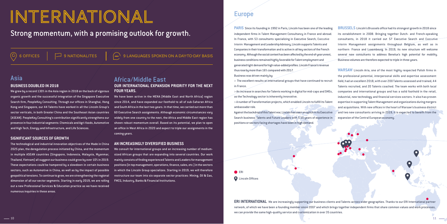# International

# Strong momentum, with a promising outlook for growth.

6 OFFICES  $\Box$  9 NATIONALITES  $\Box$  (...) 9 LANGUAGES SPOKEN ON A DAY-TO-DAY BASIS

> The excellent results at international groups that have continued to recruit in France.

**PARIS** Since its founding in 1992 in Paris, Lincoln has been one of the leading independent firms in Talent Management Consultancy in France and abroad. In France, with 53 consultants specializing in Executive Search, Executive Interim Management and Leadership Advisory, Lincoln supports Talents and Companies in their transformation and is active in all key sectors of the French economy. Although the social context has been affected by the end-of-year unrest, businessconditions remained highly favorable for Talent employment and generated tight demand for high value-added profiles. Lincoln France's revenue thusrosebymorethan 16% compared with 2017. **BRUSSELS** Lincoln's Brussels office had its strongest growth in 2018 since its establishment in 2008. Bringing together Dutch- and French-speaking consultants, in 2018 it carried out 57 Executive Search and Executive Interim Management assignments throughout Belgium, as well as in northern France and Luxembourg. In 2019, its new structure will welcome several new consultants to address Benelux's high potential for mobility. Business volumes are therefore expected to triple in three years. **WARSAW** Lincoln Aria, one of the most highly respected Polish firms in

positions or sectors facing shortages have been in high demand.

**C**ERI **O** Lincoln Offices

Business was driven mainly by: >●An increase in searches for Talents working in digital for mid-caps and SMEs, as the Technology sector is inherently innovative. >●A number of Transformation projects, which enabled Lincoln to fulfill its Talent ambassador role. Against the backdrop of this Talent war, Lincoln has seen an uptick in its Executive Search business: Talents and Future Leaders with 5-10 years of experience in the professional potential, interpersonal skills and expertise assessment field, had an excellent 2018, with over 200 Talents assessed and trained, 44 Talents recruited, and 20 Talents coached. The team works with both local companies and international groups and has a solid foothold in the retail, industrial, new technology and financial services sectors. It also has proven expertise in supporting Talent Management and organizations during mergers and acquisitions. With new offices in the heart of Warsaw's business district and two new consultants arriving in 2019, it is expected to benefit from the expansion of the Central European economy.

**ERI INTERNATIONAL** We are increasingly supporting our business clients and Talents across wider geographies. Thanks to our ERI International partner network, of which we have been a founding member since 2007 and which brings together independent firms that share common values and work processes, we can provide the same high-quality service and customization in over 35 countries.

### Africa/Middle East **OUR INTERNATIONAL EXPANSION PRIORITY FOR THE NEXT**

## **FOUR YEARS.**

We have been active in the MENA (Middle East and North Africa) region since 2014, and have expanded our foothold to all of sub-Saharan Africa and South Africa in the last two years. In that time, we carried out more than 60 Executive Search assignments. Although economic circumstances vary widely from one country to the next, the Africa and Middle East region has shown robust momentum overall. Based on its potential, we plan to open an office in West Africa in 2020 and expect to triple our assignments in the coming years.

#### **AN INCREASINGLY DIVERSIFIED BUSINESS**

We consult for international groups and an increasing number of mediumsized African groups that are expanding into several countries. Our work mainly consists of finding experienced Talents and Leaders for management positions (in top management, operations, finance, sales, etc.) in the sectors in which the Lincoln Group specializes. Starting in 2019, we will therefore restructure our team into six separate sector practices: Mining, Oil & Gas, FMCG, Industry, Banks & Financial Institutions.

### **Europe**

### Asia **BUSINESS DOUBLED IN 2018**

### We grew by a record 130% in the Asia region in 2018 on the back of vigorous organic growth and the successful integration of the Singapore Executive Search firm, PeopleKey Consulting. Through our offices in Shanghai, Hong Kong and Singapore, our 44 Talents have worked in all the Lincoln Group's sector verticals, in both Greater China and the Southeast Asian countries (ASEAN). PeopleKey Consulting's contribution significantly strengthens our presence in four industrial segments: Chemicals and Agri-foods, Automotive and High Tech, Energy and Infrastructure, and Life Sciences.

#### **SIGNIFICANT SOURCES OF GROWTH**

The technological and industrial innovation objectives of the Made in China 2025 plan, the deregulation process initiated by China, and the momentum in multiple ASEAN countries (Singapore, Indonesia, Malaysia, Myanmar, Thailand, Vietnam) all suggest our business could grow by over 10% in 2019. These expectations could be hampered by a slowdown in certain business sectors, such as Automotive in China, as well as by the impact of possible geopolitical tensions. To continue to grow, we are strengthening the regional dimension of all our sector segments. Starting in early 2019, we are rolling out a new Professional Services & Education practice as we have received numerous inquiries in these areas.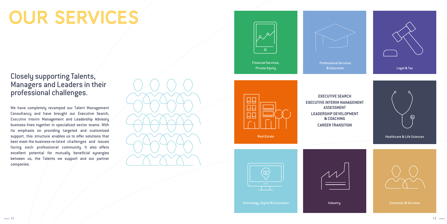# OUR SERVICES



# Closely supporting Talents, Managers and Leaders in their professional challenges.

We have completely revamped our Talent Management Consultancy and have brought our Executive Search, Executive Interim Management and Leadership Advisory business lines together in specialized sector teams. With its emphasis on providing  $tan$  argeted and customized support, this structure enables us to offer solutions that best meet the business-re-lated challenges and issues facing each professional community. It also offers excellent potential for mutually beneficial synergies between us, the Talents we support and our partner companies.





**EXECUTIVE SEARCH EXECUTIVE INTERIM MANAGEMENT ASSESSMENT LEADERSHIP DEVELOPMENT & COACHING CAREER TRANSITION**



| I | and the state of the state of the state of the state of the state of the state of the state of the state of th |
|---|----------------------------------------------------------------------------------------------------------------|
|   |                                                                                                                |

**Industry** 

Technology, Digital & Innovation Consumer Consumer & Services



Financial Services, Private Equity









Professional Services & Education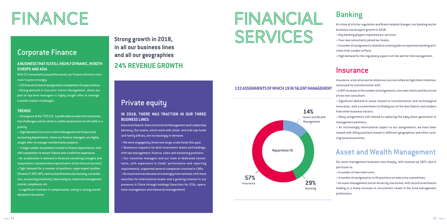**in all our business lines and all our geographies 24% REVENUE GROWTH**

# Corporate Finance

### **A BUSINESS THAT IS STILL HIGHLY DYNAMIC, IN BOTH EUROPE AND ASIA**

With 23 consultants around the world, our Finance division continues to grow strongly:

> Emergence of the "CFO 2.0," a profile able to meet the transformation challenges and for which a careful assessment of soft skills is a **priority** 

> 223 Executive Search assignments completed in Europe and Asia. >Strong demand in Executive Interim Management, where our pool of top-level managers is highly sought after to manage transfor-mation challenges.

#### **TRENDS**

> High demand in Executive Interim Management for finance and accounting departments, where our finance managers are highly sought after to manage transformation projects.

> A large number of positions created in finance departments, with stiff competition to attract Talents with a solid first experience. > An acceleration in demand in financial consulting (mergers and acquisitions, transformation/optimization of the finance function). > Tight demand for a number of positions: super-expert profiles (finance IT, ERP, SAP), technical professions (accounting, consolidation, accounting standards), data analysts, industrial management control, compliance, etc.

> A significant increase in compensation, owing to strong overall demand in the sector.

# Private equity

### **IN 2018, THERE WAS TRACTION IN OUR THREE BUSINESS LINES:**

Executive Search, Executive Interim Management and Leadership Advisory. Our teams, which work with small- and mid-cap funds and family offices, are increasingly in demand:

> We were engaged by three new large-scale funds this year. > Numerous requests for both investment teams and holdings, with top management, finance, sales and marketing positions. > Our transition managers and our team of dedicated consultants, with experience in funds' performance and reporting requirements, supported several companies involved in LBOs. > Our business has become increasingly international, with more searches for international teams and a growing interest in our presence in China through holdings (searches for CFOs, operations management and industrial management).

# FINANCE FINANCIAL SERVICES

# Banking

At a time of stricter regulation and Brexit-related changes, our banking sector business saw buoyant growth in 2018:

- > Key banking players requested our services.
- > Four new consultants joined our teams.
- > A number of assignments related to creating jobs to repatriate banking activities from London to Paris.
- > High demand for the regulatory aspects of risk and for risk management.

### **Insurance**

Insurance, a lucrative sector where our success relies on high client retention, continued its transformation with:

> A 40% increase in the number of assignments, nine new clients and the arrival of one new consultant.

> Significant demand in areas related to transformation and technological innovation, with a commitment to finding out-of-the-box Talents and Leaders from other business sectors.

> Many assignments still related to replacing the baby boom generation in management positions.

> An increasingly international aspect to our assignments; we have been tasked with filling positions based in different geographies and often covering several countries.

# Asset and Wealth Management

Our asset management business rose sharply, with revenue up 182%, due in particular to:

- > A number of new client wins.
- > A number of assignments to fill positions on executive committees.

> An asset management sector driven by real estate, with record investments leading to a sharp increase in recruitment needs in the fund management professions.

### **133 ASSIGNMENTS OF WHICH 19 IN TALENT MANAGEMENT**

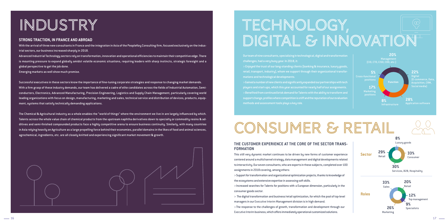# INDUSTRy

#### **THE CUSTOMER EXPERIENCE AT THE CORE OF THE SECTOR TRANS-FORMATION**

This still very dynamic market continues to be driven by new forms of customer experience centered around a multichannel strategy, data management and digital developments related to interactivity. Our seven consultants, who are experts in these subjects, completed over 100 assignments in 2018 covering, among others:

> Support for transformation and organizational optimization projects, thanks to knowledge of the ecosystems and extensive expertise in assessing soft skills.

> Increased searches for Talents for positions with a European dimension, particularly in the consumer goods sector.

> The digital transformation and business/retail optimization, for which the pool of top-level managers in our Executive Interim Management division is in high demand.

>The response to the challenges of growth, transformation and development through our Executive Interim business,which offers immediately operational customized solutions.

Our team of nine consultants, specializing in technological, digital and transformation challenges, had a very busy year. In 2018, it:

> Enjoyed the trust of our long-standing clients (banking & insurance, luxury goods, retail, transport, industry), whom we support through their organizational transformations and technological developments.

> Gained a number of new clients and significantly expanded our partnerships with tech players and start-ups, which this year accounted for nearly half of our assignments. > Benefited from continued brisk demand for Talents with the ability to transform and support change, profiles where competition is stiff and the reputation of our evaluation methods and assessment tools plays a key role.

# CONSUMER & RETAIL

#### **STRONG TRACTION, IN FRANCE AND ABROAD**

With the arrival of three new consultants in France and the integration in Asia of the PeopleKey Consulting firm, focused exclusively on the industrial sectors, our business increased sharply in 2018.

# TECHNOLOGy, DIGITAL & INNOVATION

Advanced Industrial Technology sectors rely on transformation, innovation and operational efficiencies to maintain their competitive edge. There is mounting pressure to expand globally amidst volatile economic situations, requiring leaders with sharp instincts, strategic foresight and a global perspective to get the job done.

Emerging markets as well show much promise.

Successful executives in these sectors know the importance of fine-tuning corporate strategies and response to changing market demands. With a firm grasp of these industry demands, our team has delivered a cadre of elite candidates across the fields of Industrial Automation, Semiconductors, Electronics, Advanced Manufacturing, Precision Engineering, Logistics and Supply Chain Management, particularly covering world leading organizations with focus on design, manufacturing, marketing and sales, technical service and distribution of devices, products, equipment, systems that satisfy technically demanding applications.

The Chemical & Agricultural industry as a whole enables the "world of things" where the environment we live in are largely influenced by which. Talents across the whole value chain of chemical products from the upstream naphtha derivatives down to specialty or commodity resins & additives and semi-finished compounded products face a highly competitive arena to ensure business continuity. Similarly, with many countries in Asia relying heavily on Agriculture as a large propelling force behind their economies, parallel domains in the likes of food and animal sciences, agrochemical, ingredients, etc. are all closely knitted and experiencing significant market movement & growth.





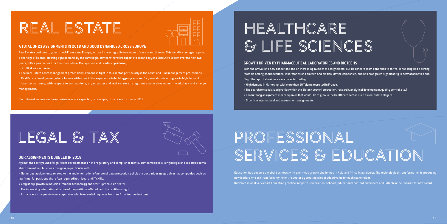# LEGAL & TAX

# REAL ESTATE



#### **A TOTAL OF 23 ASSIGNMENTS IN 2018 AND GOOD DYNAMICS ACROSS EUROPE**

Real Estate continues to grow in both France and Europe, across increasingly diverse types of assets and themes. This trend is coming up against a shortage of Talents, creating tight demand. By the same logic, our team therefore expects to expand beyond Executive Search over the next two years, with a greater need for Executive Interim Management and Leadership Advisory. In 2018, it was active in:

> The Real Estate asset management professions; demand is tight in this sector, particularly in the asset and fund management professions.

- > Real Estate development, where Talents with some initial experience in building programs and/or general contracting are in high demand.
- > User consultancy, with respect to transactions, organization and real estate strategy but also in development, workplace and change management.

With the arrival of a new consultant and an increasing number of assignments, our Healthcare team continues to thrive. It has long had a strong foothold among pharmaceutical laboratories and biotech and medical device companies, and has now grown significantly in dermocosmetics and Phutotherapy. Its business was characterized by:

Recruitment volumes in these businesses are expected, in principle, to increase further in 2019.

#### **OUR ASSIGNMENTS DOUBLED IN 2018**

Against the background of significant developments on the regulatory and compliance fronts, our teams specializing in legal and tax areas saw a sharp rise in their business this year, in particular with:

# PROFESSIONAL SERVICES & EDUCATION

> Numerous assignments related to the implementation of personal data protection policies in our various geographies, at companies such as law firms, for positions that often required both legal and IT skills.

- > Very sharp growth in inquiries from the technology and start-up/scale-up sector.
- > The increasing internationalization of the positions offered, and the profiles sought.
- > An increase in requests from corporates which exceeded requests from law firms for the first time.

# HEALTHCARE & LIFE SCIENCES

#### **GROWTH DRIVEN BY PHARMACEUTICAL LABORATORIES AND BIOTECHS**

- > High demand in Marketing, with more than 10 Talents recruited in France.
- > The search for specialized profiles within the Biotech sector (production, research, analytical development, quality control, etc.).
- > Consultancy assignments for companies that would like to grow in the Healthcare sector, such as real estate players.
- > Growth in international and assessment assignments.

Education has become a global business, with enormous growth challenges in Asia and Africa in particular. The technological transformation is producing new leaders who are transforming the entire sector by creating a lot of added value for each stakeholder. Our Professional Services & Education practice supports universities, schools, educational content publishers and EdTech in their search for new Talent.